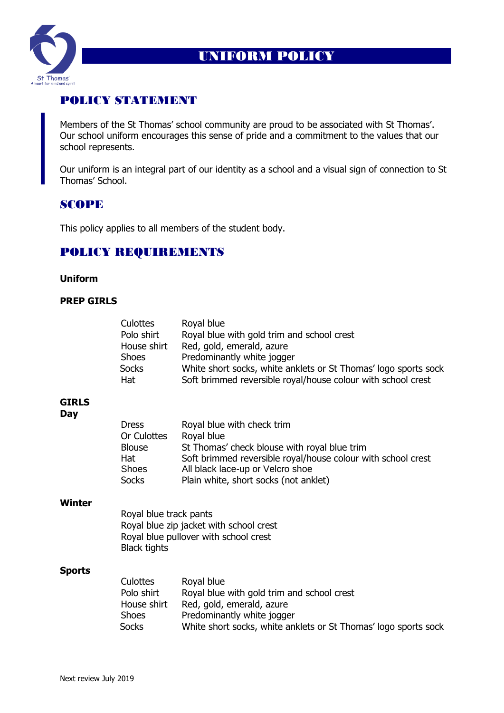

# UNIFORM POLICY

# POLICY STATEMENT

Members of the St Thomas' school community are proud to be associated with St Thomas'. Our school uniform encourages this sense of pride and a commitment to the values that our school represents.

Our uniform is an integral part of our identity as a school and a visual sign of connection to St Thomas' School.

## SCOPE

This policy applies to all members of the student body.

### POLICY REQUIREMENTS

#### **Uniform**

#### **PREP GIRLS**

|                     | Culottes<br>Polo shirt<br>House shirt<br><b>Shoes</b><br><b>Socks</b><br>Hat                                                      | Royal blue<br>Royal blue with gold trim and school crest<br>Red, gold, emerald, azure<br>Predominantly white jogger<br>White short socks, white anklets or St Thomas' logo sports sock<br>Soft brimmed reversible royal/house colour with school crest |
|---------------------|-----------------------------------------------------------------------------------------------------------------------------------|--------------------------------------------------------------------------------------------------------------------------------------------------------------------------------------------------------------------------------------------------------|
| <b>GIRLS</b><br>Day |                                                                                                                                   |                                                                                                                                                                                                                                                        |
|                     | <b>Dress</b><br>Or Culottes<br><b>Blouse</b><br>Hat<br><b>Shoes</b><br><b>Socks</b>                                               | Royal blue with check trim<br>Royal blue<br>St Thomas' check blouse with royal blue trim<br>Soft brimmed reversible royal/house colour with school crest<br>All black lace-up or Velcro shoe<br>Plain white, short socks (not anklet)                  |
| <b>Winter</b>       | Royal blue track pants<br>Royal blue zip jacket with school crest<br>Royal blue pullover with school crest<br><b>Black tights</b> |                                                                                                                                                                                                                                                        |
| <b>Sports</b>       | <b>Culottes</b><br>Polo shirt<br>House shirt<br><b>Shoes</b><br><b>Socks</b>                                                      | Royal blue<br>Royal blue with gold trim and school crest<br>Red, gold, emerald, azure<br>Predominantly white jogger<br>White short socks, white anklets or St Thomas' logo sports sock                                                                 |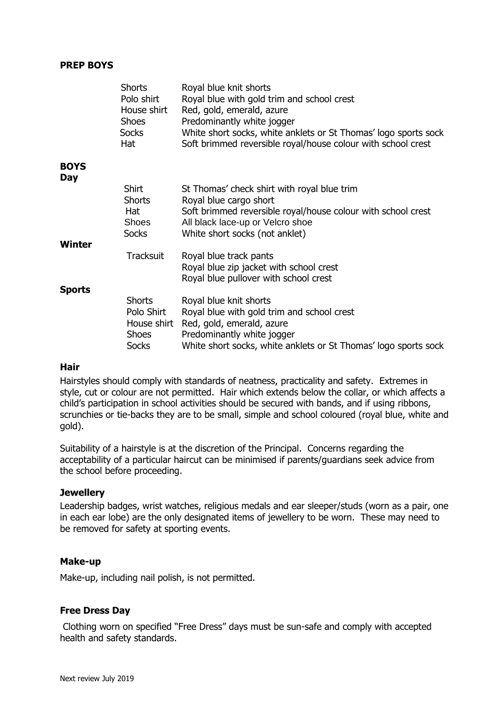#### **PREP BOYS**

|                    | <b>Shorts</b><br>Polo shirt<br>House shirt<br><b>Shoes</b><br><b>Socks</b><br>Hat | Royal blue knit shorts<br>Royal blue with gold trim and school crest<br>Red, gold, emerald, azure<br>Predominantly white jogger<br>White short socks, white anklets or St Thomas' logo sports sock<br>Soft brimmed reversible royal/house colour with school crest |
|--------------------|-----------------------------------------------------------------------------------|--------------------------------------------------------------------------------------------------------------------------------------------------------------------------------------------------------------------------------------------------------------------|
| <b>BOYS</b><br>Day |                                                                                   |                                                                                                                                                                                                                                                                    |
| Winter             | <b>Shirt</b><br><b>Shorts</b><br>Hat<br><b>Shoes</b><br><b>Socks</b>              | St Thomas' check shirt with royal blue trim<br>Royal blue cargo short<br>Soft brimmed reversible royal/house colour with school crest<br>All black lace-up or Velcro shoe<br>White short socks (not anklet)                                                        |
|                    | <b>Tracksuit</b>                                                                  | Royal blue track pants<br>Royal blue zip jacket with school crest<br>Royal blue pullover with school crest                                                                                                                                                         |
| Sports             | <b>Shorts</b><br>Polo Shirt<br>House shirt<br><b>Shoes</b><br><b>Socks</b>        | Royal blue knit shorts<br>Royal blue with gold trim and school crest<br>Red, gold, emerald, azure<br>Predominantly white jogger<br>White short socks, white anklets or St Thomas' logo sports sock                                                                 |

#### **Hair**

Hairstyles should comply with standards of neatness, practicality and safety. Extremes in style, cut or colour are not permitted. Hair which extends below the collar, or which affects a child's participation in school activities should be secured with bands, and if using ribbons, scrunchies or tie-backs they are to be small, simple and school coloured (royal blue, white and gold).

Suitability of a hairstyle is at the discretion of the Principal. Concerns regarding the acceptability of a particular haircut can be minimised if parents/guardians seek advice from the school before proceeding.

#### **Jewellery**

Leadership badges, wrist watches, religious medals and ear sleeper/studs (worn as a pair, one in each ear lobe) are the only designated items of jewellery to be worn. These may need to be removed for safety at sporting events.

#### **Make-up**

Make-up, including nail polish, is not permitted.

#### **Free Dress Day**

Clothing worn on specified "Free Dress" days must be sun-safe and comply with accepted health and safety standards.